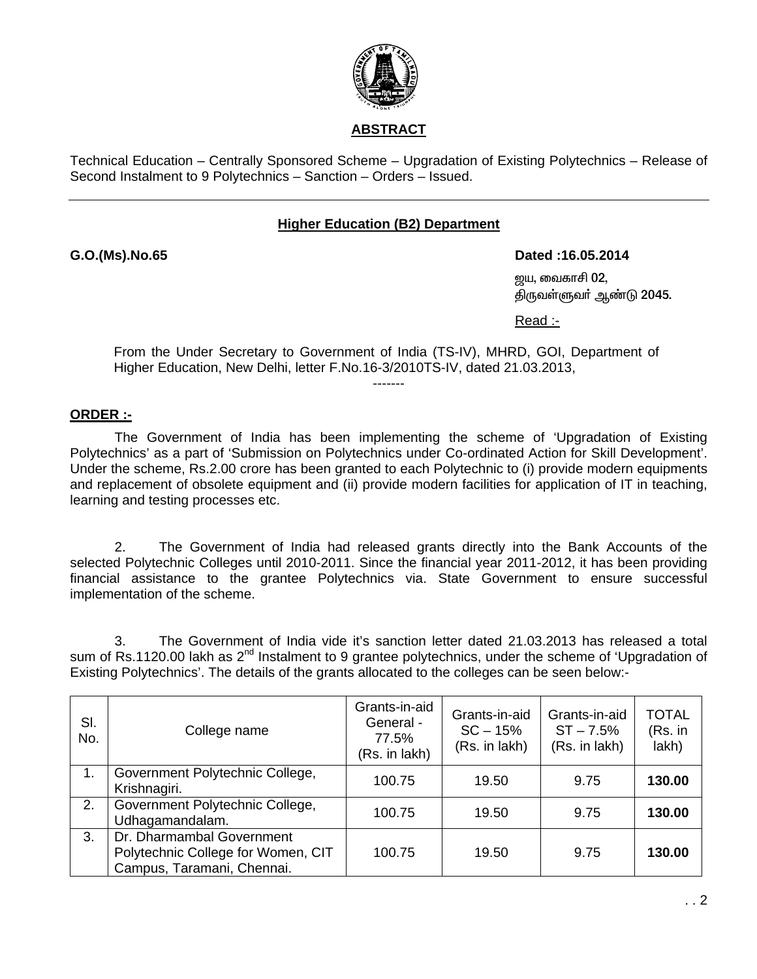

Technical Education – Centrally Sponsored Scheme – Upgradation of Existing Polytechnics – Release of Second Instalment to 9 Polytechnics – Sanction – Orders – Issued.

# **Higher Education (B2) Department**

**G.O.(Ms).No.65 Dated :16.05.2014** 

ஜய, வைகாசி $02$ , திருவள்ளுவர் ஆண்டு 2045.

Read :-

From the Under Secretary to Government of India (TS-IV), MHRD, GOI, Department of Higher Education, New Delhi, letter F.No.16-3/2010TS-IV, dated 21.03.2013, -------

# **ORDER :-**

 The Government of India has been implementing the scheme of 'Upgradation of Existing Polytechnics' as a part of 'Submission on Polytechnics under Co-ordinated Action for Skill Development'. Under the scheme, Rs.2.00 crore has been granted to each Polytechnic to (i) provide modern equipments and replacement of obsolete equipment and (ii) provide modern facilities for application of IT in teaching, learning and testing processes etc.

 2. The Government of India had released grants directly into the Bank Accounts of the selected Polytechnic Colleges until 2010-2011. Since the financial year 2011-2012, it has been providing financial assistance to the grantee Polytechnics via. State Government to ensure successful implementation of the scheme.

 3. The Government of India vide it's sanction letter dated 21.03.2013 has released a total sum of Rs.1120.00 lakh as 2<sup>nd</sup> Instalment to 9 grantee polytechnics, under the scheme of 'Upgradation of Existing Polytechnics'. The details of the grants allocated to the colleges can be seen below:-

| SI.<br>No. | College name                                                                                  | Grants-in-aid<br>General -<br>77.5%<br>(Rs. in lakh) | Grants-in-aid<br>$SC - 15%$<br>(Rs. in lakh) | Grants-in-aid<br>$ST - 7.5%$<br>(Rs. in lakh) | <b>TOTAL</b><br>(Rs. in<br>lakh) |
|------------|-----------------------------------------------------------------------------------------------|------------------------------------------------------|----------------------------------------------|-----------------------------------------------|----------------------------------|
| 1.         | Government Polytechnic College,<br>Krishnagiri.                                               | 100.75                                               | 19.50                                        | 9.75                                          | 130.00                           |
| 2.         | Government Polytechnic College,<br>Udhagamandalam.                                            | 100.75                                               | 19.50                                        | 9.75                                          | 130.00                           |
| 3.         | Dr. Dharmambal Government<br>Polytechnic College for Women, CIT<br>Campus, Taramani, Chennai. | 100.75                                               | 19.50                                        | 9.75                                          | 130.00                           |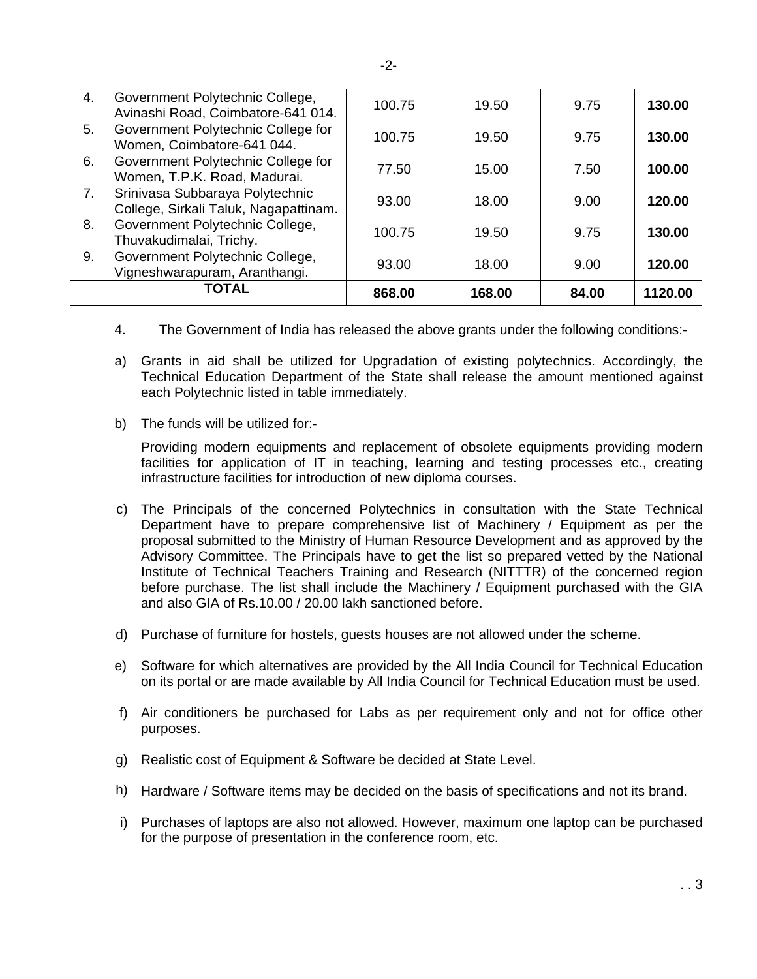| 4. | Government Polytechnic College,<br>Avinashi Road, Coimbatore-641 014.    | 100.75 | 19.50  | 9.75  | 130.00  |
|----|--------------------------------------------------------------------------|--------|--------|-------|---------|
| 5. | Government Polytechnic College for<br>Women, Coimbatore-641 044.         | 100.75 | 19.50  | 9.75  | 130.00  |
| 6. | Government Polytechnic College for<br>Women, T.P.K. Road, Madurai.       | 77.50  | 15.00  | 7.50  | 100.00  |
| 7. | Srinivasa Subbaraya Polytechnic<br>College, Sirkali Taluk, Nagapattinam. | 93.00  | 18.00  | 9.00  | 120.00  |
| 8. | Government Polytechnic College,<br>Thuvakudimalai, Trichy.               | 100.75 | 19.50  | 9.75  | 130.00  |
| 9. | Government Polytechnic College,<br>Vigneshwarapuram, Aranthangi.         | 93.00  | 18.00  | 9.00  | 120.00  |
|    | <b>TOTAL</b>                                                             | 868.00 | 168.00 | 84.00 | 1120.00 |

- 4. The Government of India has released the above grants under the following conditions:-
- a) Grants in aid shall be utilized for Upgradation of existing polytechnics. Accordingly, the Technical Education Department of the State shall release the amount mentioned against each Polytechnic listed in table immediately.
- b) The funds will be utilized for:-

Providing modern equipments and replacement of obsolete equipments providing modern facilities for application of IT in teaching, learning and testing processes etc., creating infrastructure facilities for introduction of new diploma courses.

- c) The Principals of the concerned Polytechnics in consultation with the State Technical Department have to prepare comprehensive list of Machinery / Equipment as per the proposal submitted to the Ministry of Human Resource Development and as approved by the Advisory Committee. The Principals have to get the list so prepared vetted by the National Institute of Technical Teachers Training and Research (NITTTR) of the concerned region before purchase. The list shall include the Machinery / Equipment purchased with the GIA and also GIA of Rs.10.00 / 20.00 lakh sanctioned before.
- d) Purchase of furniture for hostels, guests houses are not allowed under the scheme.
- e) Software for which alternatives are provided by the All India Council for Technical Education on its portal or are made available by All India Council for Technical Education must be used.
- f) Air conditioners be purchased for Labs as per requirement only and not for office other purposes.
- g) Realistic cost of Equipment & Software be decided at State Level.
- h) Hardware / Software items may be decided on the basis of specifications and not its brand.
- i) Purchases of laptops are also not allowed. However, maximum one laptop can be purchased for the purpose of presentation in the conference room, etc.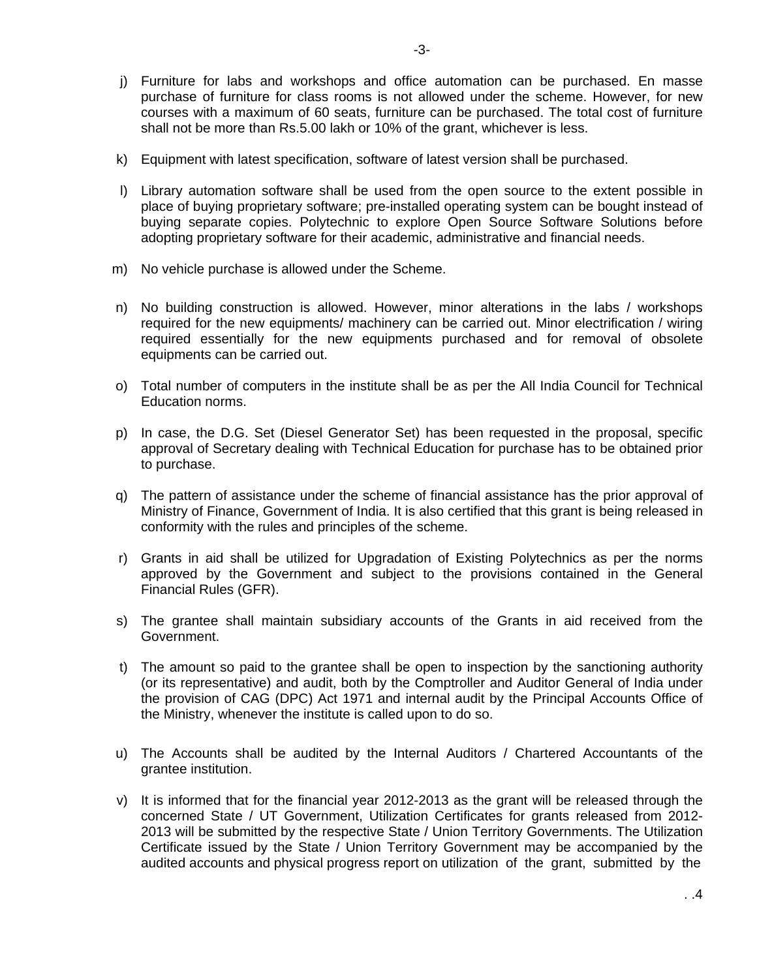- j) Furniture for labs and workshops and office automation can be purchased. En masse purchase of furniture for class rooms is not allowed under the scheme. However, for new courses with a maximum of 60 seats, furniture can be purchased. The total cost of furniture shall not be more than Rs.5.00 lakh or 10% of the grant, whichever is less.
- k) Equipment with latest specification, software of latest version shall be purchased.
- l) Library automation software shall be used from the open source to the extent possible in place of buying proprietary software; pre-installed operating system can be bought instead of buying separate copies. Polytechnic to explore Open Source Software Solutions before adopting proprietary software for their academic, administrative and financial needs.
- m) No vehicle purchase is allowed under the Scheme.
- n) No building construction is allowed. However, minor alterations in the labs / workshops required for the new equipments/ machinery can be carried out. Minor electrification / wiring required essentially for the new equipments purchased and for removal of obsolete equipments can be carried out.
- o) Total number of computers in the institute shall be as per the All India Council for Technical Education norms.
- p) In case, the D.G. Set (Diesel Generator Set) has been requested in the proposal, specific approval of Secretary dealing with Technical Education for purchase has to be obtained prior to purchase.
- q) The pattern of assistance under the scheme of financial assistance has the prior approval of Ministry of Finance, Government of India. It is also certified that this grant is being released in conformity with the rules and principles of the scheme.
- r) Grants in aid shall be utilized for Upgradation of Existing Polytechnics as per the norms approved by the Government and subject to the provisions contained in the General Financial Rules (GFR).
- s) The grantee shall maintain subsidiary accounts of the Grants in aid received from the Government.
- t) The amount so paid to the grantee shall be open to inspection by the sanctioning authority (or its representative) and audit, both by the Comptroller and Auditor General of India under the provision of CAG (DPC) Act 1971 and internal audit by the Principal Accounts Office of the Ministry, whenever the institute is called upon to do so.
- u) The Accounts shall be audited by the Internal Auditors / Chartered Accountants of the grantee institution.
- v) It is informed that for the financial year 2012-2013 as the grant will be released through the concerned State / UT Government, Utilization Certificates for grants released from 2012- 2013 will be submitted by the respective State / Union Territory Governments. The Utilization Certificate issued by the State / Union Territory Government may be accompanied by the audited accounts and physical progress report on utilization of the grant, submitted by the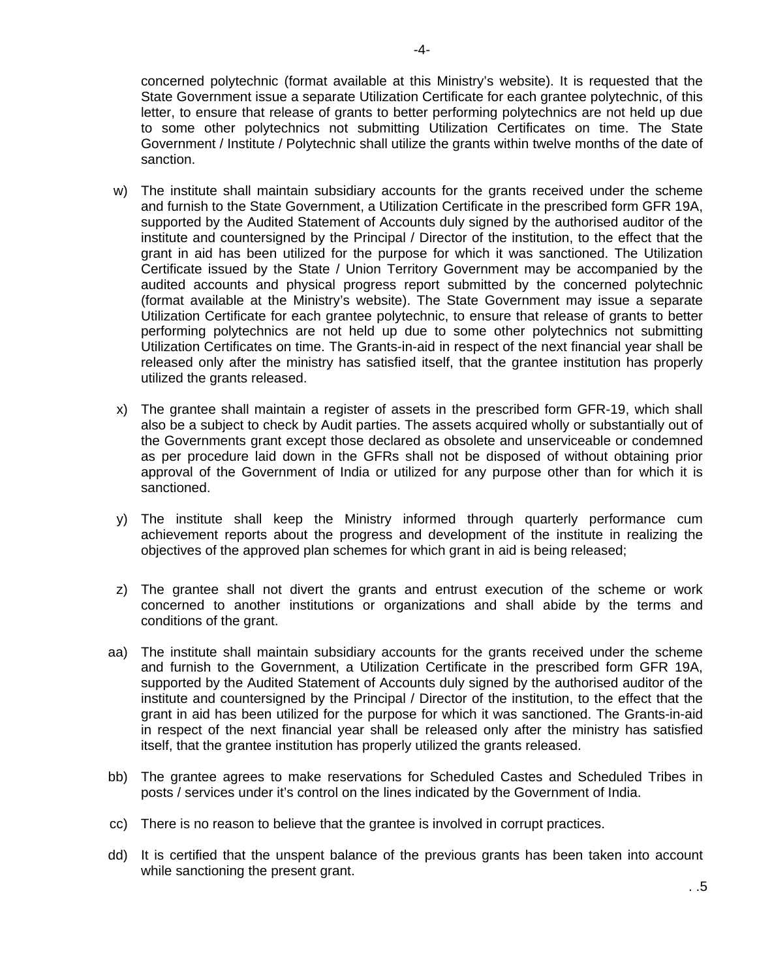concerned polytechnic (format available at this Ministry's website). It is requested that the State Government issue a separate Utilization Certificate for each grantee polytechnic, of this letter, to ensure that release of grants to better performing polytechnics are not held up due to some other polytechnics not submitting Utilization Certificates on time. The State Government / Institute / Polytechnic shall utilize the grants within twelve months of the date of sanction.

- w) The institute shall maintain subsidiary accounts for the grants received under the scheme and furnish to the State Government, a Utilization Certificate in the prescribed form GFR 19A, supported by the Audited Statement of Accounts duly signed by the authorised auditor of the institute and countersigned by the Principal / Director of the institution, to the effect that the grant in aid has been utilized for the purpose for which it was sanctioned. The Utilization Certificate issued by the State / Union Territory Government may be accompanied by the audited accounts and physical progress report submitted by the concerned polytechnic (format available at the Ministry's website). The State Government may issue a separate Utilization Certificate for each grantee polytechnic, to ensure that release of grants to better performing polytechnics are not held up due to some other polytechnics not submitting Utilization Certificates on time. The Grants-in-aid in respect of the next financial year shall be released only after the ministry has satisfied itself, that the grantee institution has properly utilized the grants released.
- x) The grantee shall maintain a register of assets in the prescribed form GFR-19, which shall also be a subject to check by Audit parties. The assets acquired wholly or substantially out of the Governments grant except those declared as obsolete and unserviceable or condemned as per procedure laid down in the GFRs shall not be disposed of without obtaining prior approval of the Government of India or utilized for any purpose other than for which it is sanctioned.
- y) The institute shall keep the Ministry informed through quarterly performance cum achievement reports about the progress and development of the institute in realizing the objectives of the approved plan schemes for which grant in aid is being released;
- z) The grantee shall not divert the grants and entrust execution of the scheme or work concerned to another institutions or organizations and shall abide by the terms and conditions of the grant.
- aa) The institute shall maintain subsidiary accounts for the grants received under the scheme and furnish to the Government, a Utilization Certificate in the prescribed form GFR 19A, supported by the Audited Statement of Accounts duly signed by the authorised auditor of the institute and countersigned by the Principal / Director of the institution, to the effect that the grant in aid has been utilized for the purpose for which it was sanctioned. The Grants-in-aid in respect of the next financial year shall be released only after the ministry has satisfied itself, that the grantee institution has properly utilized the grants released.
- bb) The grantee agrees to make reservations for Scheduled Castes and Scheduled Tribes in posts / services under it's control on the lines indicated by the Government of India.
- cc) There is no reason to believe that the grantee is involved in corrupt practices.
- dd) It is certified that the unspent balance of the previous grants has been taken into account while sanctioning the present grant.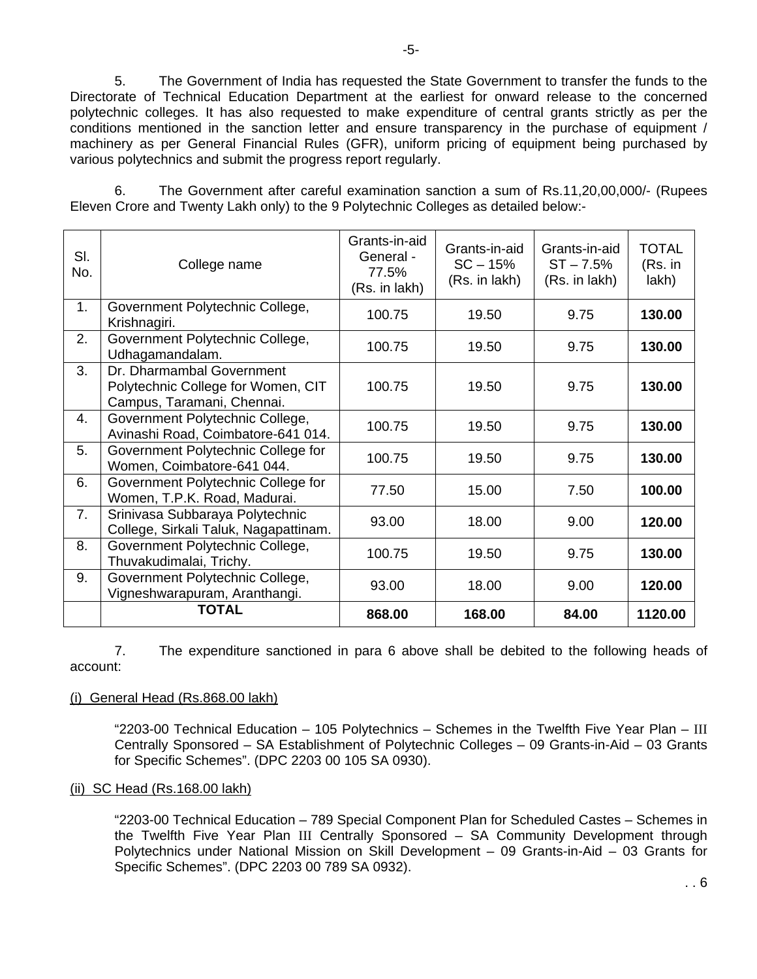5. The Government of India has requested the State Government to transfer the funds to the Directorate of Technical Education Department at the earliest for onward release to the concerned polytechnic colleges. It has also requested to make expenditure of central grants strictly as per the conditions mentioned in the sanction letter and ensure transparency in the purchase of equipment / machinery as per General Financial Rules (GFR), uniform pricing of equipment being purchased by various polytechnics and submit the progress report regularly.

 6. The Government after careful examination sanction a sum of Rs.11,20,00,000/- (Rupees Eleven Crore and Twenty Lakh only) to the 9 Polytechnic Colleges as detailed below:-

| SI.<br>No. | College name                                                                                  | Grants-in-aid<br>General -<br>77.5%<br>(Rs. in lakh) | Grants-in-aid<br>$SC - 15%$<br>(Rs. in lakh) | Grants-in-aid<br>$ST - 7.5%$<br>(Rs. in lakh) | <b>TOTAL</b><br>(Rs. in<br>lakh) |
|------------|-----------------------------------------------------------------------------------------------|------------------------------------------------------|----------------------------------------------|-----------------------------------------------|----------------------------------|
| 1.         | Government Polytechnic College,<br>Krishnagiri.                                               | 100.75                                               | 19.50                                        | 9.75                                          | 130.00                           |
| 2.         | Government Polytechnic College,<br>Udhagamandalam.                                            | 100.75                                               | 19.50                                        | 9.75                                          | 130.00                           |
| 3.         | Dr. Dharmambal Government<br>Polytechnic College for Women, CIT<br>Campus, Taramani, Chennai. | 100.75                                               | 19.50                                        | 9.75                                          | 130.00                           |
| 4.         | Government Polytechnic College,<br>Avinashi Road, Coimbatore-641 014.                         | 100.75                                               | 19.50                                        | 9.75                                          | 130.00                           |
| 5.         | Government Polytechnic College for<br>Women, Coimbatore-641 044.                              | 100.75                                               | 19.50                                        | 9.75                                          | 130.00                           |
| 6.         | Government Polytechnic College for<br>Women, T.P.K. Road, Madurai.                            | 77.50                                                | 15.00                                        | 7.50                                          | 100.00                           |
| 7.         | Srinivasa Subbaraya Polytechnic<br>College, Sirkali Taluk, Nagapattinam.                      | 93.00                                                | 18.00                                        | 9.00                                          | 120.00                           |
| 8.         | Government Polytechnic College,<br>Thuvakudimalai, Trichy.                                    | 100.75                                               | 19.50                                        | 9.75                                          | 130.00                           |
| 9.         | Government Polytechnic College,<br>Vigneshwarapuram, Aranthangi.                              | 93.00                                                | 18.00                                        | 9.00                                          | 120.00                           |
|            | <b>TOTAL</b>                                                                                  | 868.00                                               | 168.00                                       | 84.00                                         | 1120.00                          |

 7. The expenditure sanctioned in para 6 above shall be debited to the following heads of account:

### (i) General Head (Rs.868.00 lakh)

"2203-00 Technical Education – 105 Polytechnics – Schemes in the Twelfth Five Year Plan – III Centrally Sponsored – SA Establishment of Polytechnic Colleges – 09 Grants-in-Aid – 03 Grants for Specific Schemes". (DPC 2203 00 105 SA 0930).

#### (ii) SC Head (Rs.168.00 lakh)

"2203-00 Technical Education – 789 Special Component Plan for Scheduled Castes – Schemes in the Twelfth Five Year Plan III Centrally Sponsored – SA Community Development through Polytechnics under National Mission on Skill Development – 09 Grants-in-Aid – 03 Grants for Specific Schemes". (DPC 2203 00 789 SA 0932).